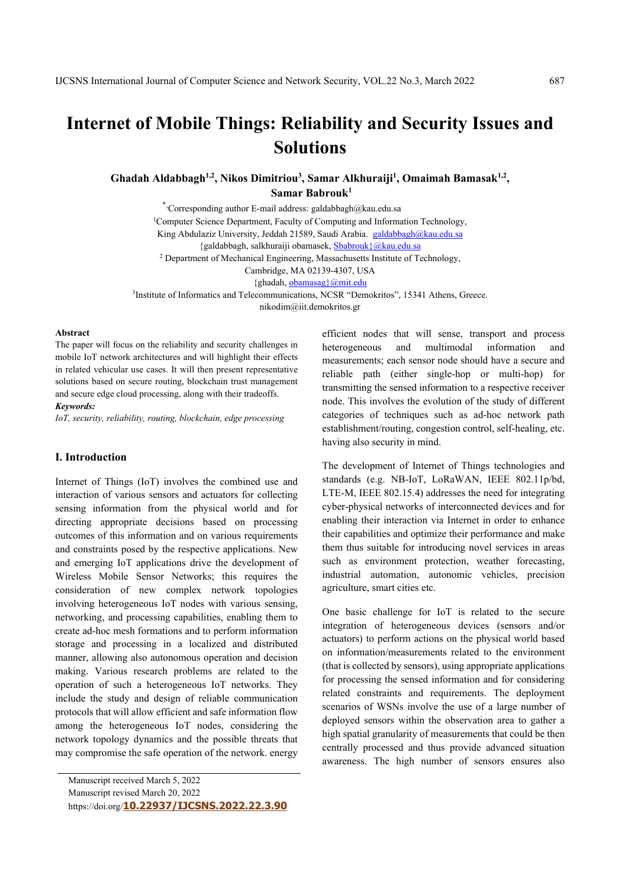# **Internet of Mobile Things: Reliability and Security Issues and Solutions**

Ghadah Aldabbagh<sup>1,2</sup>, Nikos Dimitriou<sup>3</sup>, Samar Alkhuraiji<sup>1</sup>, Omaimah Bamasak<sup>1,2</sup>,  **Samar Babrouk1** 

\*\* Corresponding author E-mail address: galdabbagh@kau.edu.sa <sup>1</sup>Computer Science Department, Faculty of Computing and Information Technology, King Abdulaziz University, Jeddah 21589, Saudi Arabia. galdabbagh@kau.edu.sa {galdabbagh, salkhuraiji obamasek, Sbabrouk}@kau.edu.sa <sup>2</sup> Department of Mechanical Engineering, Massachusetts Institute of Technology, Cambridge, MA 02139-4307, USA {ghadah, obamasag}@mit.edu

3 Institute of Informatics and Telecommunications, NCSR "Demokritos", 15341 Athens, Greece. nikodim@iit.demokritos.gr

#### **Abstract**

The paper will focus on the reliability and security challenges in mobile IoT network architectures and will highlight their effects in related vehicular use cases. It will then present representative solutions based on secure routing, blockchain trust management and secure edge cloud processing, along with their tradeoffs. *Keywords:* 

*IoT, security, reliability, routing, blockchain, edge processing* 

## **I. Introduction**

Internet of Things (IoT) involves the combined use and interaction of various sensors and actuators for collecting sensing information from the physical world and for directing appropriate decisions based on processing outcomes of this information and on various requirements and constraints posed by the respective applications. New and emerging IoT applications drive the development of Wireless Mobile Sensor Networks; this requires the consideration of new complex network topologies involving heterogeneous IoT nodes with various sensing, networking, and processing capabilities, enabling them to create ad-hoc mesh formations and to perform information storage and processing in a localized and distributed manner, allowing also autonomous operation and decision making. Various research problems are related to the operation of such a heterogeneous IoT networks. They include the study and design of reliable communication protocols that will allow efficient and safe information flow among the heterogeneous IoT nodes, considering the network topology dynamics and the possible threats that may compromise the safe operation of the network. energy

Manuscript received March 5, 2022

Manuscript revised March 20, 2022

https://doi.org/**10.22937/IJCSNS.2022.22.3.90**

efficient nodes that will sense, transport and process heterogeneous and multimodal information and measurements; each sensor node should have a secure and reliable path (either single-hop or multi-hop) for transmitting the sensed information to a respective receiver node. This involves the evolution of the study of different categories of techniques such as ad-hoc network path establishment/routing, congestion control, self-healing, etc. having also security in mind.

The development of Internet of Things technologies and standards (e.g. NB-IoT, LoRaWAN, IEEE 802.11p/bd, LTE-M, IEEE 802.15.4) addresses the need for integrating cyber-physical networks of interconnected devices and for enabling their interaction via Internet in order to enhance their capabilities and optimize their performance and make them thus suitable for introducing novel services in areas such as environment protection, weather forecasting, industrial automation, autonomic vehicles, precision agriculture, smart cities etc.

One basic challenge for IoT is related to the secure integration of heterogeneous devices (sensors and/or actuators) to perform actions on the physical world based on information/measurements related to the environment (that is collected by sensors), using appropriate applications for processing the sensed information and for considering related constraints and requirements. The deployment scenarios of WSNs involve the use of a large number of deployed sensors within the observation area to gather a high spatial granularity of measurements that could be then centrally processed and thus provide advanced situation awareness. The high number of sensors ensures also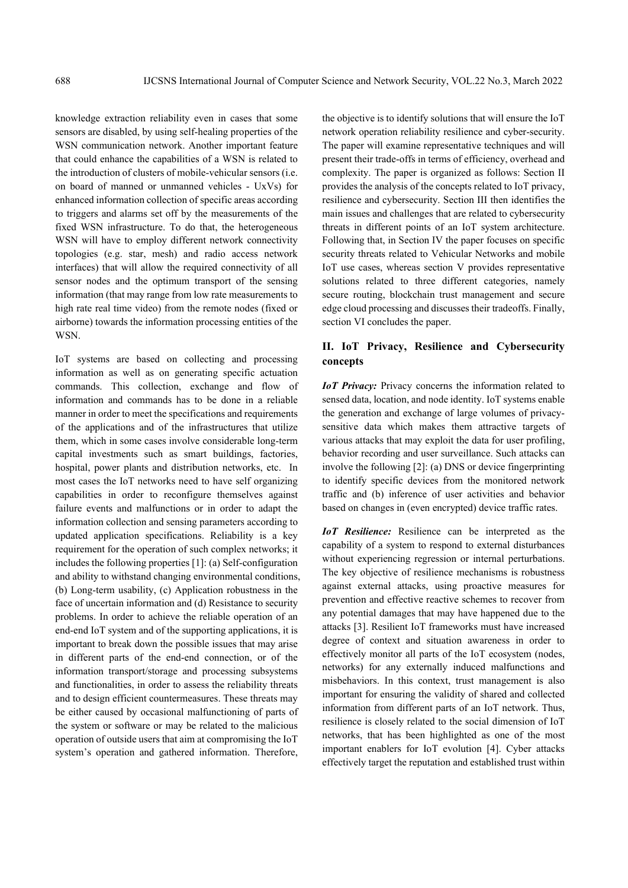knowledge extraction reliability even in cases that some sensors are disabled, by using self-healing properties of the WSN communication network. Another important feature that could enhance the capabilities of a WSN is related to the introduction of clusters of mobile-vehicular sensors (i.e. on board of manned or unmanned vehicles - UxVs) for enhanced information collection of specific areas according to triggers and alarms set off by the measurements of the fixed WSN infrastructure. To do that, the heterogeneous WSN will have to employ different network connectivity topologies (e.g. star, mesh) and radio access network interfaces) that will allow the required connectivity of all sensor nodes and the optimum transport of the sensing information (that may range from low rate measurements to high rate real time video) from the remote nodes (fixed or airborne) towards the information processing entities of the WSN.

IoT systems are based on collecting and processing information as well as on generating specific actuation commands. This collection, exchange and flow of information and commands has to be done in a reliable manner in order to meet the specifications and requirements of the applications and of the infrastructures that utilize them, which in some cases involve considerable long-term capital investments such as smart buildings, factories, hospital, power plants and distribution networks, etc. In most cases the IoT networks need to have self organizing capabilities in order to reconfigure themselves against failure events and malfunctions or in order to adapt the information collection and sensing parameters according to updated application specifications. Reliability is a key requirement for the operation of such complex networks; it includes the following properties [1]: (a) Self-configuration and ability to withstand changing environmental conditions, (b) Long-term usability, (c) Application robustness in the face of uncertain information and (d) Resistance to security problems. In order to achieve the reliable operation of an end-end IoT system and of the supporting applications, it is important to break down the possible issues that may arise in different parts of the end-end connection, or of the information transport/storage and processing subsystems and functionalities, in order to assess the reliability threats and to design efficient countermeasures. These threats may be either caused by occasional malfunctioning of parts of the system or software or may be related to the malicious operation of outside users that aim at compromising the IoT system's operation and gathered information. Therefore,

the objective is to identify solutions that will ensure the IoT network operation reliability resilience and cyber-security. The paper will examine representative techniques and will present their trade-offs in terms of efficiency, overhead and complexity. The paper is organized as follows: Section II provides the analysis of the concepts related to IoT privacy, resilience and cybersecurity. Section III then identifies the main issues and challenges that are related to cybersecurity threats in different points of an IoT system architecture. Following that, in Section IV the paper focuses on specific security threats related to Vehicular Networks and mobile IoT use cases, whereas section V provides representative solutions related to three different categories, namely secure routing, blockchain trust management and secure edge cloud processing and discusses their tradeoffs. Finally, section VI concludes the paper.

## **II. IoT Privacy, Resilience and Cybersecurity concepts**

*IoT Privacy:* Privacy concerns the information related to sensed data, location, and node identity. IoT systems enable the generation and exchange of large volumes of privacysensitive data which makes them attractive targets of various attacks that may exploit the data for user profiling, behavior recording and user surveillance. Such attacks can involve the following [2]: (a) DNS or device fingerprinting to identify specific devices from the monitored network traffic and (b) inference of user activities and behavior based on changes in (even encrypted) device traffic rates.

*IoT Resilience:* Resilience can be interpreted as the capability of a system to respond to external disturbances without experiencing regression or internal perturbations. The key objective of resilience mechanisms is robustness against external attacks, using proactive measures for prevention and effective reactive schemes to recover from any potential damages that may have happened due to the attacks [3]. Resilient IoT frameworks must have increased degree of context and situation awareness in order to effectively monitor all parts of the IoT ecosystem (nodes, networks) for any externally induced malfunctions and misbehaviors. In this context, trust management is also important for ensuring the validity of shared and collected information from different parts of an IoT network. Thus, resilience is closely related to the social dimension of IoT networks, that has been highlighted as one of the most important enablers for IoT evolution [4]. Cyber attacks effectively target the reputation and established trust within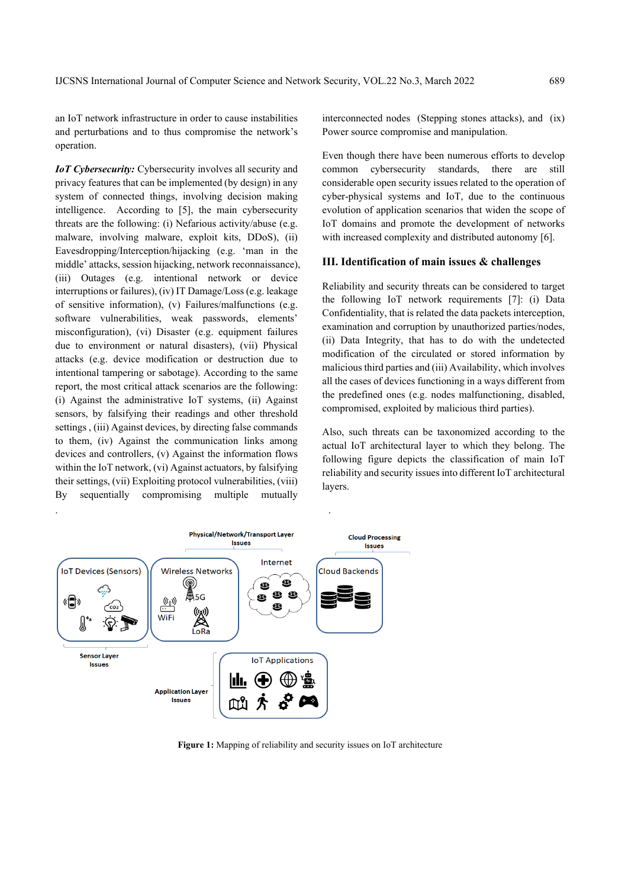an IoT network infrastructure in order to cause instabilities and perturbations and to thus compromise the network's operation.

*IoT Cybersecurity:* Cybersecurity involves all security and privacy features that can be implemented (by design) in any system of connected things, involving decision making intelligence. According to [5], the main cybersecurity threats are the following: (i) Nefarious activity/abuse (e.g. malware, involving malware, exploit kits, DDoS), (ii) Eavesdropping/Interception/hijacking (e.g. 'man in the middle' attacks, session hijacking, network reconnaissance), (iii) Outages (e.g. intentional network or device interruptions or failures), (iv) IT Damage/Loss (e.g. leakage of sensitive information), (v) Failures/malfunctions (e.g. software vulnerabilities, weak passwords, elements' misconfiguration), (vi) Disaster (e.g. equipment failures due to environment or natural disasters), (vii) Physical attacks (e.g. device modification or destruction due to intentional tampering or sabotage). According to the same report, the most critical attack scenarios are the following: (i) Against the administrative IoT systems, (ii) Against sensors, by falsifying their readings and other threshold settings , (iii) Against devices, by directing false commands to them, (iv) Against the communication links among devices and controllers, (v) Against the information flows within the IoT network, (vi) Against actuators, by falsifying their settings, (vii) Exploiting protocol vulnerabilities, (viii) By sequentially compromising multiple mutually

interconnected nodes (Stepping stones attacks), and (ix) Power source compromise and manipulation.

Even though there have been numerous efforts to develop common cybersecurity standards, there are still considerable open security issues related to the operation of cyber-physical systems and IoT, due to the continuous evolution of application scenarios that widen the scope of IoT domains and promote the development of networks with increased complexity and distributed autonomy [6].

#### **III. Identification of main issues & challenges**

Reliability and security threats can be considered to target the following IoT network requirements [7]: (i) Data Confidentiality, that is related the data packets interception, examination and corruption by unauthorized parties/nodes, (ii) Data Integrity, that has to do with the undetected modification of the circulated or stored information by malicious third parties and (iii) Availability, which involves all the cases of devices functioning in a ways different from the predefined ones (e.g. nodes malfunctioning, disabled, compromised, exploited by malicious third parties).

Also, such threats can be taxonomized according to the actual IoT architectural layer to which they belong. The following figure depicts the classification of main IoT reliability and security issues into different IoT architectural layers.



**Figure 1:** Mapping of reliability and security issues on IoT architecture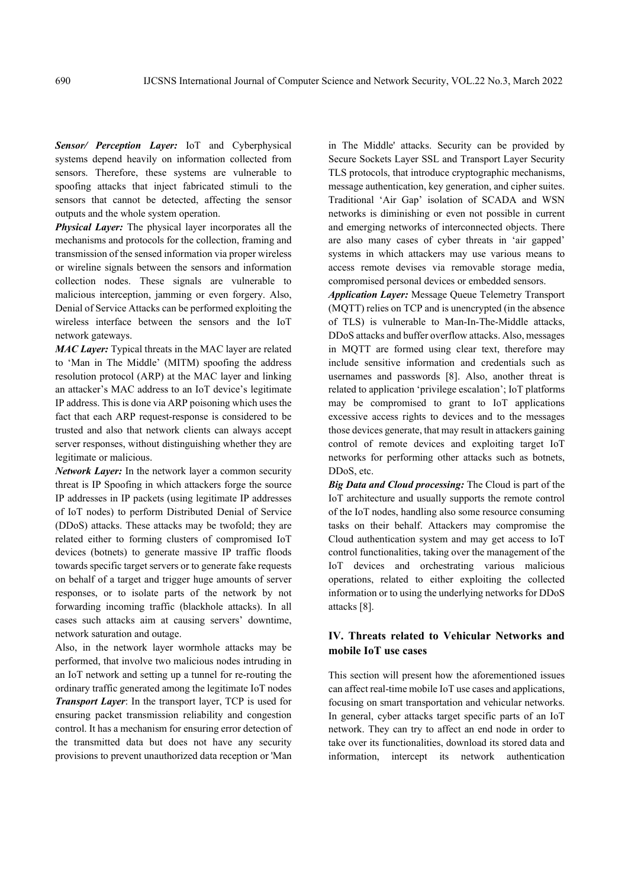*Sensor/ Perception Layer:* IoT and Cyberphysical systems depend heavily on information collected from sensors. Therefore, these systems are vulnerable to spoofing attacks that inject fabricated stimuli to the sensors that cannot be detected, affecting the sensor outputs and the whole system operation.

*Physical Layer:* The physical layer incorporates all the mechanisms and protocols for the collection, framing and transmission of the sensed information via proper wireless or wireline signals between the sensors and information collection nodes. These signals are vulnerable to malicious interception, jamming or even forgery. Also, Denial of Service Attacks can be performed exploiting the wireless interface between the sensors and the IoT network gateways.

*MAC Layer:* Typical threats in the MAC layer are related to 'Man in The Middle' (MITM) spoofing the address resolution protocol (ARP) at the MAC layer and linking an attacker's MAC address to an IoT device's legitimate IP address. This is done via ARP poisoning which uses the fact that each ARP request-response is considered to be trusted and also that network clients can always accept server responses, without distinguishing whether they are legitimate or malicious.

*Network Layer:* In the network layer a common security threat is IP Spoofing in which attackers forge the source IP addresses in IP packets (using legitimate IP addresses of IoT nodes) to perform Distributed Denial of Service (DDoS) attacks. These attacks may be twofold; they are related either to forming clusters of compromised IoT devices (botnets) to generate massive IP traffic floods towards specific target servers or to generate fake requests on behalf of a target and trigger huge amounts of server responses, or to isolate parts of the network by not forwarding incoming traffic (blackhole attacks). In all cases such attacks aim at causing servers' downtime, network saturation and outage.

Also, in the network layer wormhole attacks may be performed, that involve two malicious nodes intruding in an IoT network and setting up a tunnel for re-routing the ordinary traffic generated among the legitimate IoT nodes *Transport Layer*: In the transport layer, TCP is used for ensuring packet transmission reliability and congestion control. It has a mechanism for ensuring error detection of the transmitted data but does not have any security provisions to prevent unauthorized data reception or 'Man in The Middle' attacks. Security can be provided by Secure Sockets Layer SSL and Transport Layer Security TLS protocols, that introduce cryptographic mechanisms, message authentication, key generation, and cipher suites. Traditional 'Air Gap' isolation of SCADA and WSN networks is diminishing or even not possible in current and emerging networks of interconnected objects. There are also many cases of cyber threats in 'air gapped' systems in which attackers may use various means to access remote devises via removable storage media, compromised personal devices or embedded sensors.

*Application Layer:* Message Queue Telemetry Transport (MQTT) relies on TCP and is unencrypted (in the absence of TLS) is vulnerable to Man-In-The-Middle attacks, DDoS attacks and buffer overflow attacks. Also, messages in MQTT are formed using clear text, therefore may include sensitive information and credentials such as usernames and passwords [8]. Also, another threat is related to application 'privilege escalation'; IoT platforms may be compromised to grant to IoT applications excessive access rights to devices and to the messages those devices generate, that may result in attackers gaining control of remote devices and exploiting target IoT networks for performing other attacks such as botnets, DDoS, etc.

*Big Data and Cloud processing:* The Cloud is part of the IoT architecture and usually supports the remote control of the IoT nodes, handling also some resource consuming tasks on their behalf. Attackers may compromise the Cloud authentication system and may get access to IoT control functionalities, taking over the management of the IoT devices and orchestrating various malicious operations, related to either exploiting the collected information or to using the underlying networks for DDoS attacks [8].

## **IV. Threats related to Vehicular Networks and mobile IoT use cases**

This section will present how the aforementioned issues can affect real-time mobile IoT use cases and applications, focusing on smart transportation and vehicular networks. In general, cyber attacks target specific parts of an IoT network. They can try to affect an end node in order to take over its functionalities, download its stored data and information, intercept its network authentication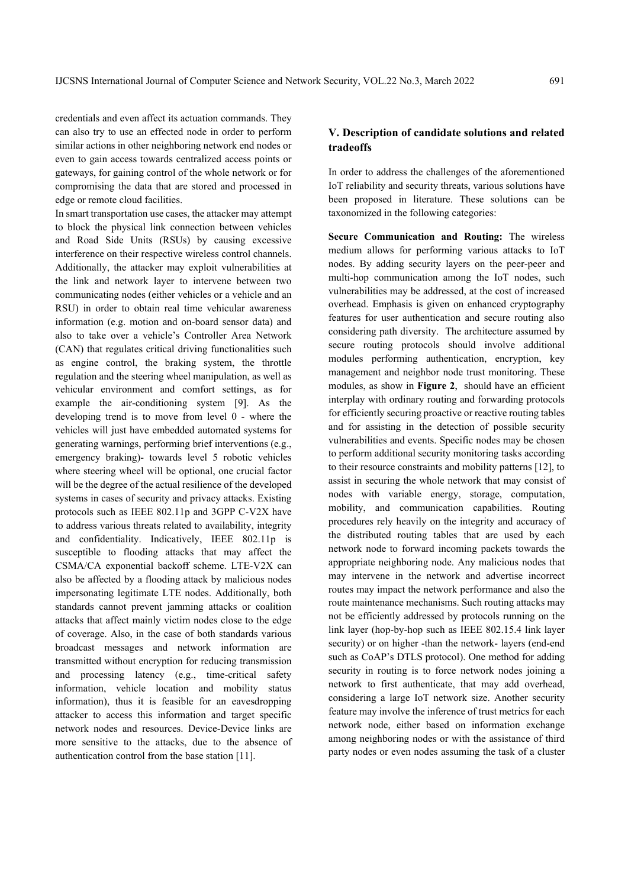credentials and even affect its actuation commands. They can also try to use an effected node in order to perform similar actions in other neighboring network end nodes or even to gain access towards centralized access points or gateways, for gaining control of the whole network or for compromising the data that are stored and processed in edge or remote cloud facilities.

In smart transportation use cases, the attacker may attempt to block the physical link connection between vehicles and Road Side Units (RSUs) by causing excessive interference on their respective wireless control channels. Additionally, the attacker may exploit vulnerabilities at the link and network layer to intervene between two communicating nodes (either vehicles or a vehicle and an RSU) in order to obtain real time vehicular awareness information (e.g. motion and on-board sensor data) and also to take over a vehicle's Controller Area Network (CAN) that regulates critical driving functionalities such as engine control, the braking system, the throttle regulation and the steering wheel manipulation, as well as vehicular environment and comfort settings, as for example the air-conditioning system [9]. As the developing trend is to move from level 0 - where the vehicles will just have embedded automated systems for generating warnings, performing brief interventions (e.g., emergency braking)- towards level 5 robotic vehicles where steering wheel will be optional, one crucial factor will be the degree of the actual resilience of the developed systems in cases of security and privacy attacks. Existing protocols such as IEEE 802.11p and 3GPP C-V2X have to address various threats related to availability, integrity and confidentiality. Indicatively, IEEE 802.11p is susceptible to flooding attacks that may affect the CSMA/CA exponential backoff scheme. LTE-V2X can also be affected by a flooding attack by malicious nodes impersonating legitimate LTE nodes. Additionally, both standards cannot prevent jamming attacks or coalition attacks that affect mainly victim nodes close to the edge of coverage. Also, in the case of both standards various broadcast messages and network information are transmitted without encryption for reducing transmission and processing latency (e.g., time-critical safety information, vehicle location and mobility status information), thus it is feasible for an eavesdropping attacker to access this information and target specific network nodes and resources. Device-Device links are more sensitive to the attacks, due to the absence of authentication control from the base station [11].

## **V. Description of candidate solutions and related tradeoffs**

In order to address the challenges of the aforementioned IoT reliability and security threats, various solutions have been proposed in literature. These solutions can be taxonomized in the following categories:

**Secure Communication and Routing:** The wireless medium allows for performing various attacks to IoT nodes. By adding security layers on the peer-peer and multi-hop communication among the IoT nodes, such vulnerabilities may be addressed, at the cost of increased overhead. Emphasis is given on enhanced cryptography features for user authentication and secure routing also considering path diversity. The architecture assumed by secure routing protocols should involve additional modules performing authentication, encryption, key management and neighbor node trust monitoring. These modules, as show in **Figure 2**, should have an efficient interplay with ordinary routing and forwarding protocols for efficiently securing proactive or reactive routing tables and for assisting in the detection of possible security vulnerabilities and events. Specific nodes may be chosen to perform additional security monitoring tasks according to their resource constraints and mobility patterns [12], to assist in securing the whole network that may consist of nodes with variable energy, storage, computation, mobility, and communication capabilities. Routing procedures rely heavily on the integrity and accuracy of the distributed routing tables that are used by each network node to forward incoming packets towards the appropriate neighboring node. Any malicious nodes that may intervene in the network and advertise incorrect routes may impact the network performance and also the route maintenance mechanisms. Such routing attacks may not be efficiently addressed by protocols running on the link layer (hop-by-hop such as IEEE 802.15.4 link layer security) or on higher -than the network- layers (end-end such as CoAP's DTLS protocol). One method for adding security in routing is to force network nodes joining a network to first authenticate, that may add overhead, considering a large IoT network size. Another security feature may involve the inference of trust metrics for each network node, either based on information exchange among neighboring nodes or with the assistance of third party nodes or even nodes assuming the task of a cluster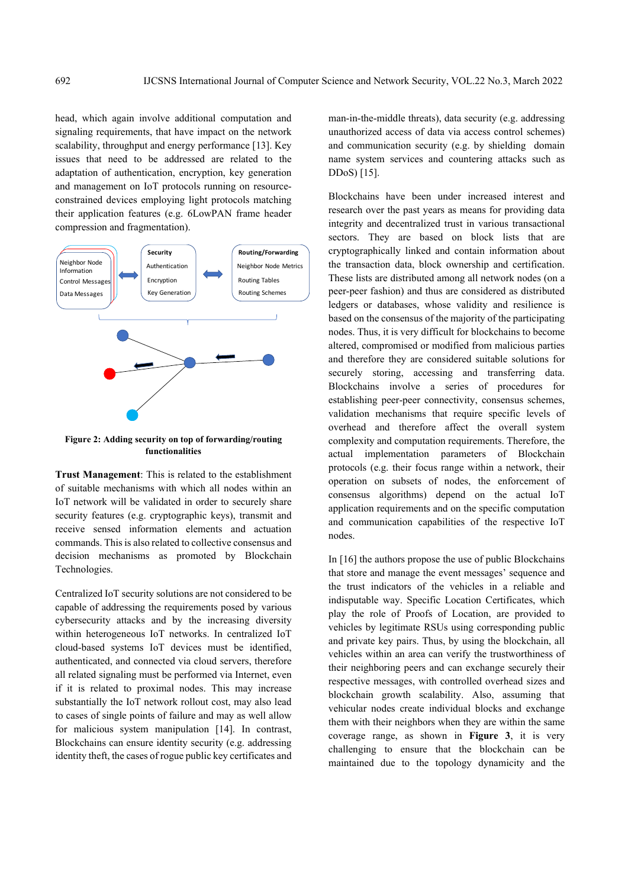head, which again involve additional computation and signaling requirements, that have impact on the network scalability, throughput and energy performance [13]. Key issues that need to be addressed are related to the adaptation of authentication, encryption, key generation and management on IoT protocols running on resourceconstrained devices employing light protocols matching their application features (e.g. 6LowPAN frame header compression and fragmentation).



**Figure 2: Adding security on top of forwarding/routing functionalities** 

**Trust Management**: This is related to the establishment of suitable mechanisms with which all nodes within an IoT network will be validated in order to securely share security features (e.g. cryptographic keys), transmit and receive sensed information elements and actuation commands. This is also related to collective consensus and decision mechanisms as promoted by Blockchain Technologies.

Centralized IoT security solutions are not considered to be capable of addressing the requirements posed by various cybersecurity attacks and by the increasing diversity within heterogeneous IoT networks. In centralized IoT cloud-based systems IoT devices must be identified, authenticated, and connected via cloud servers, therefore all related signaling must be performed via Internet, even if it is related to proximal nodes. This may increase substantially the IoT network rollout cost, may also lead to cases of single points of failure and may as well allow for malicious system manipulation [14]. In contrast, Blockchains can ensure identity security (e.g. addressing identity theft, the cases of rogue public key certificates and man-in-the-middle threats), data security (e.g. addressing unauthorized access of data via access control schemes) and communication security (e.g. by shielding domain name system services and countering attacks such as DDoS) [15].

Blockchains have been under increased interest and research over the past years as means for providing data integrity and decentralized trust in various transactional sectors. They are based on block lists that are cryptographically linked and contain information about the transaction data, block ownership and certification. These lists are distributed among all network nodes (on a peer-peer fashion) and thus are considered as distributed ledgers or databases, whose validity and resilience is based on the consensus of the majority of the participating nodes. Thus, it is very difficult for blockchains to become altered, compromised or modified from malicious parties and therefore they are considered suitable solutions for securely storing, accessing and transferring data. Blockchains involve a series of procedures for establishing peer-peer connectivity, consensus schemes, validation mechanisms that require specific levels of overhead and therefore affect the overall system complexity and computation requirements. Therefore, the actual implementation parameters of Blockchain protocols (e.g. their focus range within a network, their operation on subsets of nodes, the enforcement of consensus algorithms) depend on the actual IoT application requirements and on the specific computation and communication capabilities of the respective IoT nodes.

In [16] the authors propose the use of public Blockchains that store and manage the event messages' sequence and the trust indicators of the vehicles in a reliable and indisputable way. Specific Location Certificates, which play the role of Proofs of Location, are provided to vehicles by legitimate RSUs using corresponding public and private key pairs. Thus, by using the blockchain, all vehicles within an area can verify the trustworthiness of their neighboring peers and can exchange securely their respective messages, with controlled overhead sizes and blockchain growth scalability. Also, assuming that vehicular nodes create individual blocks and exchange them with their neighbors when they are within the same coverage range, as shown in **Figure 3**, it is very challenging to ensure that the blockchain can be maintained due to the topology dynamicity and the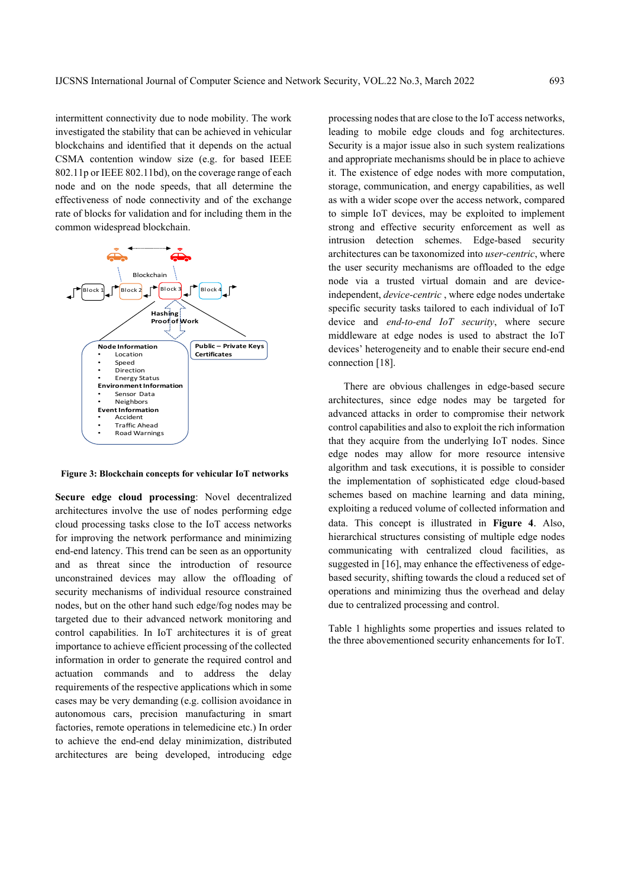intermittent connectivity due to node mobility. The work investigated the stability that can be achieved in vehicular blockchains and identified that it depends on the actual CSMA contention window size (e.g. for based IEEE 802.11p or IEEE 802.11bd), on the coverage range of each node and on the node speeds, that all determine the effectiveness of node connectivity and of the exchange rate of blocks for validation and for including them in the common widespread blockchain.



 **Figure 3: Blockchain concepts for vehicular IoT networks** 

**Secure edge cloud processing**: Novel decentralized architectures involve the use of nodes performing edge cloud processing tasks close to the IoT access networks for improving the network performance and minimizing end-end latency. This trend can be seen as an opportunity and as threat since the introduction of resource unconstrained devices may allow the offloading of security mechanisms of individual resource constrained nodes, but on the other hand such edge/fog nodes may be targeted due to their advanced network monitoring and control capabilities. In IoT architectures it is of great importance to achieve efficient processing of the collected information in order to generate the required control and actuation commands and to address the delay requirements of the respective applications which in some cases may be very demanding (e.g. collision avoidance in autonomous cars, precision manufacturing in smart factories, remote operations in telemedicine etc.) In order to achieve the end-end delay minimization, distributed architectures are being developed, introducing edge

processing nodes that are close to the IoT access networks, leading to mobile edge clouds and fog architectures. Security is a major issue also in such system realizations and appropriate mechanisms should be in place to achieve it. The existence of edge nodes with more computation, storage, communication, and energy capabilities, as well as with a wider scope over the access network, compared to simple IoT devices, may be exploited to implement strong and effective security enforcement as well as intrusion detection schemes. Edge-based security architectures can be taxonomized into *user-centric*, where the user security mechanisms are offloaded to the edge node via a trusted virtual domain and are deviceindependent, *device-centric* , where edge nodes undertake specific security tasks tailored to each individual of IoT device and *end-to-end IoT security*, where secure middleware at edge nodes is used to abstract the IoT devices' heterogeneity and to enable their secure end-end connection [18].

There are obvious challenges in edge-based secure architectures, since edge nodes may be targeted for advanced attacks in order to compromise their network control capabilities and also to exploit the rich information that they acquire from the underlying IoT nodes. Since edge nodes may allow for more resource intensive algorithm and task executions, it is possible to consider the implementation of sophisticated edge cloud-based schemes based on machine learning and data mining, exploiting a reduced volume of collected information and data. This concept is illustrated in **Figure 4**. Also, hierarchical structures consisting of multiple edge nodes communicating with centralized cloud facilities, as suggested in [16], may enhance the effectiveness of edgebased security, shifting towards the cloud a reduced set of operations and minimizing thus the overhead and delay due to centralized processing and control.

Table 1 highlights some properties and issues related to the three abovementioned security enhancements for IoT.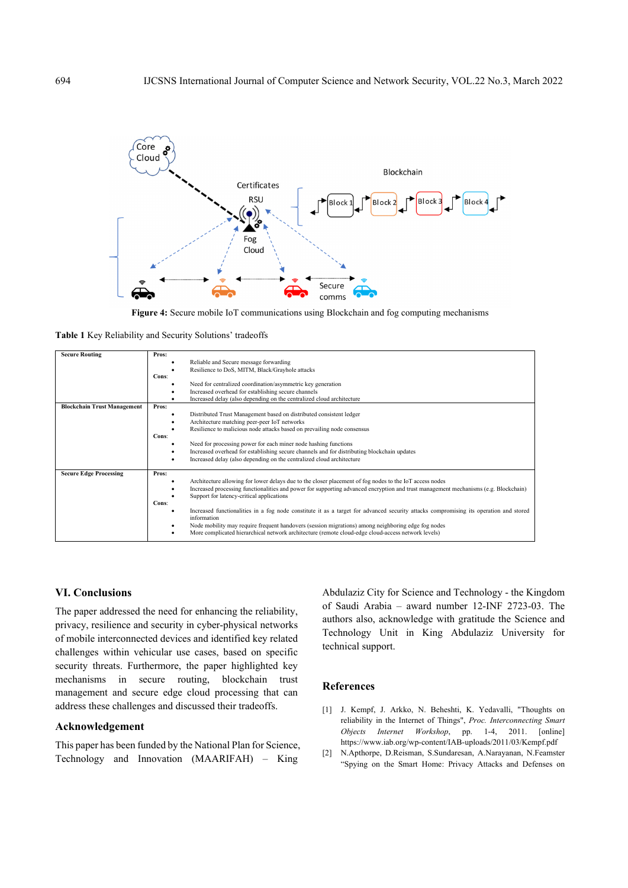



**Table 1** Key Reliability and Security Solutions' tradeoffs

| <b>Secure Routing</b>              | Pros:<br>Reliable and Secure message forwarding<br>Resilience to DoS, MITM, Black/Grayhole attacks<br>Cons:<br>Need for centralized coordination/asymmetric key generation<br>Increased overhead for establishing secure channels<br>Increased delay (also depending on the centralized cloud architecture                                                                                                                                                                                                                                                                                                                                                                        |
|------------------------------------|-----------------------------------------------------------------------------------------------------------------------------------------------------------------------------------------------------------------------------------------------------------------------------------------------------------------------------------------------------------------------------------------------------------------------------------------------------------------------------------------------------------------------------------------------------------------------------------------------------------------------------------------------------------------------------------|
| <b>Blockchain Trust Management</b> | Pros:<br>Distributed Trust Management based on distributed consistent ledger<br>Architecture matching peer-peer IoT networks<br>Resilience to malicious node attacks based on prevailing node consensus<br>Cons:<br>Need for processing power for each miner node hashing functions<br>٠<br>Increased overhead for establishing secure channels and for distributing blockchain updates<br>Increased delay (also depending on the centralized cloud architecture                                                                                                                                                                                                                  |
| <b>Secure Edge Processing</b>      | Pros:<br>Architecture allowing for lower delays due to the closer placement of fog nodes to the IoT access nodes<br>Increased processing functionalities and power for supporting advanced encryption and trust management mechanisms (e.g. Blockchain)<br>Support for latency-critical applications<br>Cons:<br>Increased functionalities in a fog node constitute it as a target for advanced security attacks compromising its operation and stored<br>information<br>Node mobility may require frequent handovers (session migrations) among neighboring edge fog nodes<br>More complicated hierarchical network architecture (remote cloud-edge cloud-access network levels) |

## **VI. Conclusions**

The paper addressed the need for enhancing the reliability, privacy, resilience and security in cyber-physical networks of mobile interconnected devices and identified key related challenges within vehicular use cases, based on specific security threats. Furthermore, the paper highlighted key mechanisms in secure routing, blockchain trust management and secure edge cloud processing that can address these challenges and discussed their tradeoffs.

#### **Acknowledgement**

This paper has been funded by the National Plan for Science, Technology and Innovation (MAARIFAH) – King

Abdulaziz City for Science and Technology - the Kingdom of Saudi Arabia – award number 12-INF 2723-03. The authors also, acknowledge with gratitude the Science and Technology Unit in King Abdulaziz University for technical support.

### **References**

- [1] J. Kempf, J. Arkko, N. Beheshti, K. Yedavalli, "Thoughts on reliability in the Internet of Things", *Proc. Interconnecting Smart Objects Internet Workshop*, pp. 1-4, 2011. [online] https://www.iab.org/wp-content/IAB-uploads/2011/03/Kempf.pdf
- [2] N.Apthorpe, D.Reisman, S.Sundaresan, A.Narayanan, N.Feamster "Spying on the Smart Home: Privacy Attacks and Defenses on